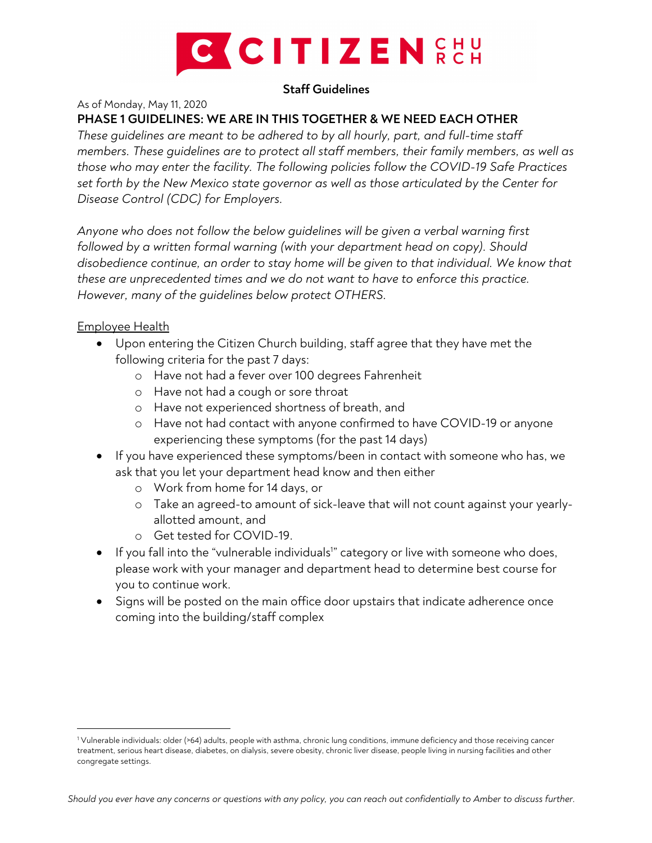

## **Staff Guidelines**

As of Monday, May 11, 2020

**PHASE 1 GUIDELINES: WE ARE IN THIS TOGETHER & WE NEED EACH OTHER**

*These guidelines are meant to be adhered to by all hourly, part, and full-time staff members. These guidelines are to protect all staff members, their family members, as well as those who may enter the facility. The following policies follow the COVID-19 Safe Practices set forth by the New Mexico state governor as well as those articulated by the Center for Disease Control (CDC) for Employers.*

*Anyone who does not follow the below guidelines will be given a verbal warning first followed by a written formal warning (with your department head on copy). Should disobedience continue, an order to stay home will be given to that individual. We know that these are unprecedented times and we do not want to have to enforce this practice. However, many of the guidelines below protect OTHERS.*

## Employee Health

- Upon entering the Citizen Church building, staff agree that they have met the following criteria for the past 7 days:
	- o Have not had a fever over 100 degrees Fahrenheit
	- o Have not had a cough or sore throat
	- o Have not experienced shortness of breath, and
	- o Have not had contact with anyone confirmed to have COVID-19 or anyone experiencing these symptoms (for the past 14 days)
- If you have experienced these symptoms/been in contact with someone who has, we ask that you let your department head know and then either
	- o Work from home for 14 days, or
	- o Take an agreed-to amount of sick-leave that will not count against your yearlyallotted amount, and
	- o Get tested for COVID-19.
- If you fall into the "vulnerable individuals<sup>1</sup>" category or live with someone who does, please work with your manager and department head to determine best course for you to continue work.
- Signs will be posted on the main office door upstairs that indicate adherence once coming into the building/staff complex

<sup>1</sup> Vulnerable individuals: older (>64) adults, people with asthma, chronic lung conditions, immune deficiency and those receiving cancer treatment, serious heart disease, diabetes, on dialysis, severe obesity, chronic liver disease, people living in nursing facilities and other congregate settings.